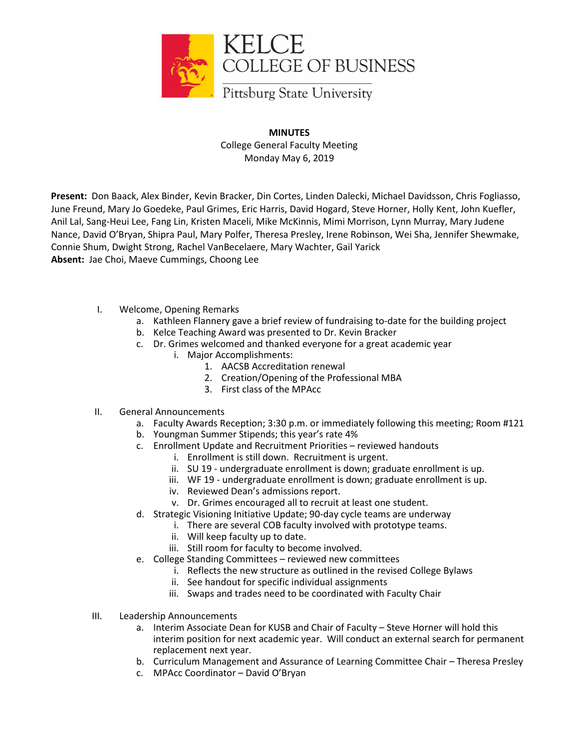

**MINUTES** College General Faculty Meeting Monday May 6, 2019

**Present:** Don Baack, Alex Binder, Kevin Bracker, Din Cortes, Linden Dalecki, Michael Davidsson, Chris Fogliasso, June Freund, Mary Jo Goedeke, Paul Grimes, Eric Harris, David Hogard, Steve Horner, Holly Kent, John Kuefler, Anil Lal, Sang-Heui Lee, Fang Lin, Kristen Maceli, Mike McKinnis, Mimi Morrison, Lynn Murray, Mary Judene Nance, David O'Bryan, Shipra Paul, Mary Polfer, Theresa Presley, Irene Robinson, Wei Sha, Jennifer Shewmake, Connie Shum, Dwight Strong, Rachel VanBecelaere, Mary Wachter, Gail Yarick **Absent:** Jae Choi, Maeve Cummings, Choong Lee

- I. Welcome, Opening Remarks
	- a. Kathleen Flannery gave a brief review of fundraising to-date for the building project
	- b. Kelce Teaching Award was presented to Dr. Kevin Bracker
	- c. Dr. Grimes welcomed and thanked everyone for a great academic year
		- i. Major Accomplishments:
			- 1. AACSB Accreditation renewal
			- 2. Creation/Opening of the Professional MBA
			- 3. First class of the MPAcc
- II. General Announcements
	- a. Faculty Awards Reception; 3:30 p.m. or immediately following this meeting; Room #121
	- b. Youngman Summer Stipends; this year's rate 4%
	- c. Enrollment Update and Recruitment Priorities reviewed handouts
		- i. Enrollment is still down. Recruitment is urgent.
			- ii. SU 19 undergraduate enrollment is down; graduate enrollment is up.
		- iii. WF 19 undergraduate enrollment is down; graduate enrollment is up.
		- iv. Reviewed Dean's admissions report.
		- v. Dr. Grimes encouraged all to recruit at least one student.
	- d. Strategic Visioning Initiative Update; 90-day cycle teams are underway
		- i. There are several COB faculty involved with prototype teams.
		- ii. Will keep faculty up to date.
		- iii. Still room for faculty to become involved.
	- e. College Standing Committees reviewed new committees
		- i. Reflects the new structure as outlined in the revised College Bylaws
		- ii. See handout for specific individual assignments
		- iii. Swaps and trades need to be coordinated with Faculty Chair
- III. Leadership Announcements
	- a. Interim Associate Dean for KUSB and Chair of Faculty Steve Horner will hold this interim position for next academic year. Will conduct an external search for permanent replacement next year.
	- b. Curriculum Management and Assurance of Learning Committee Chair Theresa Presley
	- c. MPAcc Coordinator David O'Bryan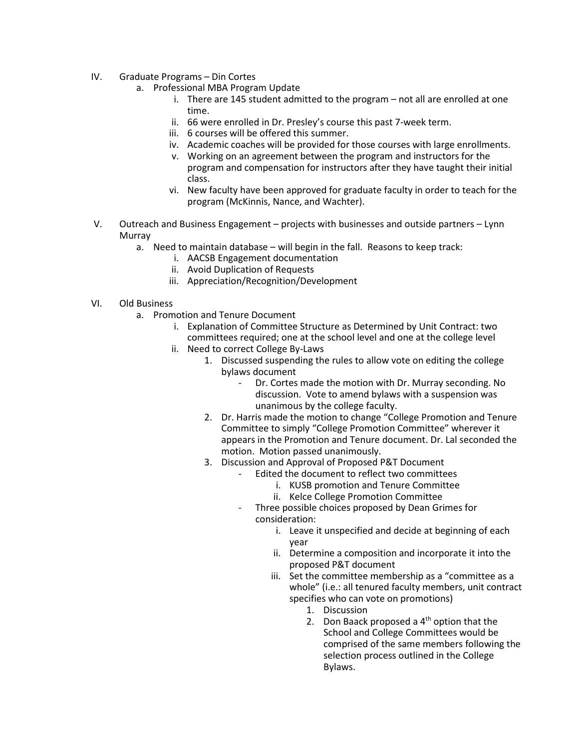- IV. Graduate Programs Din Cortes
	- a. Professional MBA Program Update
		- i. There are 145 student admitted to the program not all are enrolled at one time.
		- ii. 66 were enrolled in Dr. Presley's course this past 7-week term.
		- iii. 6 courses will be offered this summer.
		- iv. Academic coaches will be provided for those courses with large enrollments.
		- v. Working on an agreement between the program and instructors for the program and compensation for instructors after they have taught their initial class.
		- vi. New faculty have been approved for graduate faculty in order to teach for the program (McKinnis, Nance, and Wachter).
- V. Outreach and Business Engagement projects with businesses and outside partners Lynn **Murray** 
	- a. Need to maintain database will begin in the fall. Reasons to keep track:
		- i. AACSB Engagement documentation
		- ii. Avoid Duplication of Requests
		- iii. Appreciation/Recognition/Development
- VI. Old Business
	- a. Promotion and Tenure Document
		- i. Explanation of Committee Structure as Determined by Unit Contract: two committees required; one at the school level and one at the college level
		- ii. Need to correct College By-Laws
			- 1. Discussed suspending the rules to allow vote on editing the college bylaws document
				- Dr. Cortes made the motion with Dr. Murray seconding. No discussion. Vote to amend bylaws with a suspension was unanimous by the college faculty.
			- 2. Dr. Harris made the motion to change "College Promotion and Tenure Committee to simply "College Promotion Committee" wherever it appears in the Promotion and Tenure document. Dr. Lal seconded the motion. Motion passed unanimously.
			- 3. Discussion and Approval of Proposed P&T Document
				- Edited the document to reflect two committees
					- i. KUSB promotion and Tenure Committee
					- ii. Kelce College Promotion Committee
				- Three possible choices proposed by Dean Grimes for consideration:
					- i. Leave it unspecified and decide at beginning of each year
					- ii. Determine a composition and incorporate it into the proposed P&T document
					- iii. Set the committee membership as a "committee as a whole" (i.e.: all tenured faculty members, unit contract specifies who can vote on promotions)
						- 1. Discussion
						- 2. Don Baack proposed a  $4<sup>th</sup>$  option that the School and College Committees would be comprised of the same members following the selection process outlined in the College Bylaws.